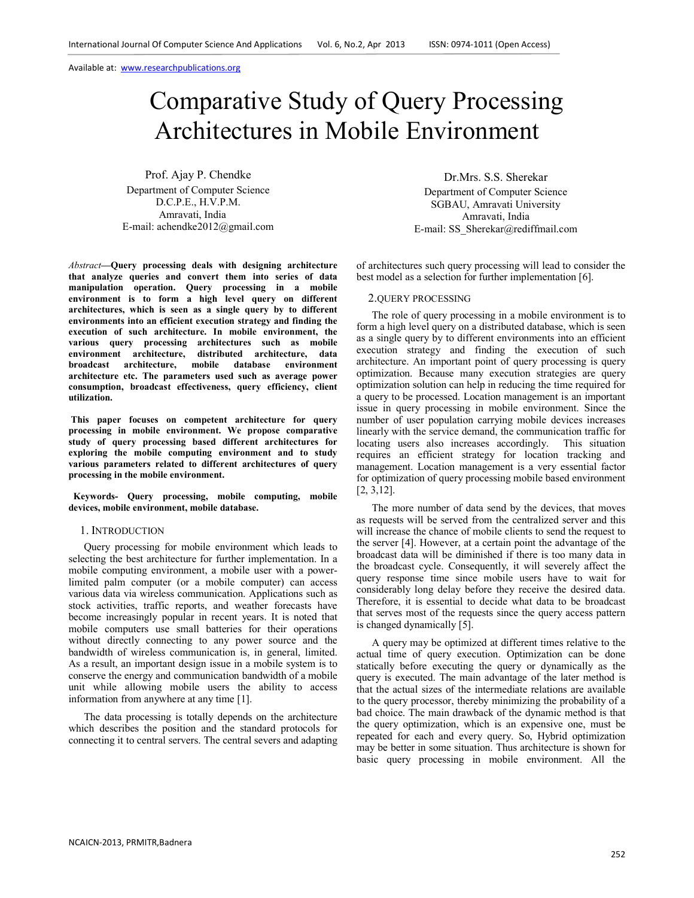# Comparative Study of Query Processing Architectures in Mobile Environment

Prof. Ajay P. Chendke Department of Computer Science D.C.P.E., H.V.P.M. Amravati, India E-mail: achendke2012@gmail.com

*Abstract***—Query processing deals with designing architecture that analyze queries and convert them into series of data manipulation operation. Query processing in a mobile environment is to form a high level query on different architectures, which is seen as a single query by to different environments into an efficient execution strategy and finding the execution of such architecture. In mobile environment, the various query processing architectures such as mobile environment architecture, distributed architecture, data broadcast architecture, mobile database environment architecture etc. The parameters used such as average power consumption, broadcast effectiveness, query efficiency, client utilization.** 

 **This paper focuses on competent architecture for query processing in mobile environment. We propose comparative study of query processing based different architectures for exploring the mobile computing environment and to study various parameters related to different architectures of query processing in the mobile environment.** 

 **Keywords- Query processing, mobile computing, mobile devices, mobile environment, mobile database.** 

#### 1. INTRODUCTION

Query processing for mobile environment which leads to selecting the best architecture for further implementation. In a mobile computing environment, a mobile user with a powerlimited palm computer (or a mobile computer) can access various data via wireless communication. Applications such as stock activities, traffic reports, and weather forecasts have become increasingly popular in recent years. It is noted that mobile computers use small batteries for their operations without directly connecting to any power source and the bandwidth of wireless communication is, in general, limited. As a result, an important design issue in a mobile system is to conserve the energy and communication bandwidth of a mobile unit while allowing mobile users the ability to access information from anywhere at any time [1].

The data processing is totally depends on the architecture which describes the position and the standard protocols for connecting it to central servers. The central severs and adapting

Dr.Mrs. S.S. Sherekar Department of Computer Science SGBAU, Amravati University Amravati, India E-mail: SS\_Sherekar@rediffmail.com

of architectures such query processing will lead to consider the best model as a selection for further implementation [6].

#### 2.QUERY PROCESSING

The role of query processing in a mobile environment is to form a high level query on a distributed database, which is seen as a single query by to different environments into an efficient execution strategy and finding the execution of such architecture. An important point of query processing is query optimization. Because many execution strategies are query optimization solution can help in reducing the time required for a query to be processed. Location management is an important issue in query processing in mobile environment. Since the number of user population carrying mobile devices increases linearly with the service demand, the communication traffic for locating users also increases accordingly. This situation requires an efficient strategy for location tracking and management. Location management is a very essential factor for optimization of query processing mobile based environment [2, 3,12].

The more number of data send by the devices, that moves as requests will be served from the centralized server and this will increase the chance of mobile clients to send the request to the server [4]. However, at a certain point the advantage of the broadcast data will be diminished if there is too many data in the broadcast cycle. Consequently, it will severely affect the query response time since mobile users have to wait for considerably long delay before they receive the desired data. Therefore, it is essential to decide what data to be broadcast that serves most of the requests since the query access pattern is changed dynamically [5].

A query may be optimized at different times relative to the actual time of query execution. Optimization can be done statically before executing the query or dynamically as the query is executed. The main advantage of the later method is that the actual sizes of the intermediate relations are available to the query processor, thereby minimizing the probability of a bad choice. The main drawback of the dynamic method is that the query optimization, which is an expensive one, must be repeated for each and every query. So, Hybrid optimization may be better in some situation. Thus architecture is shown for basic query processing in mobile environment. All the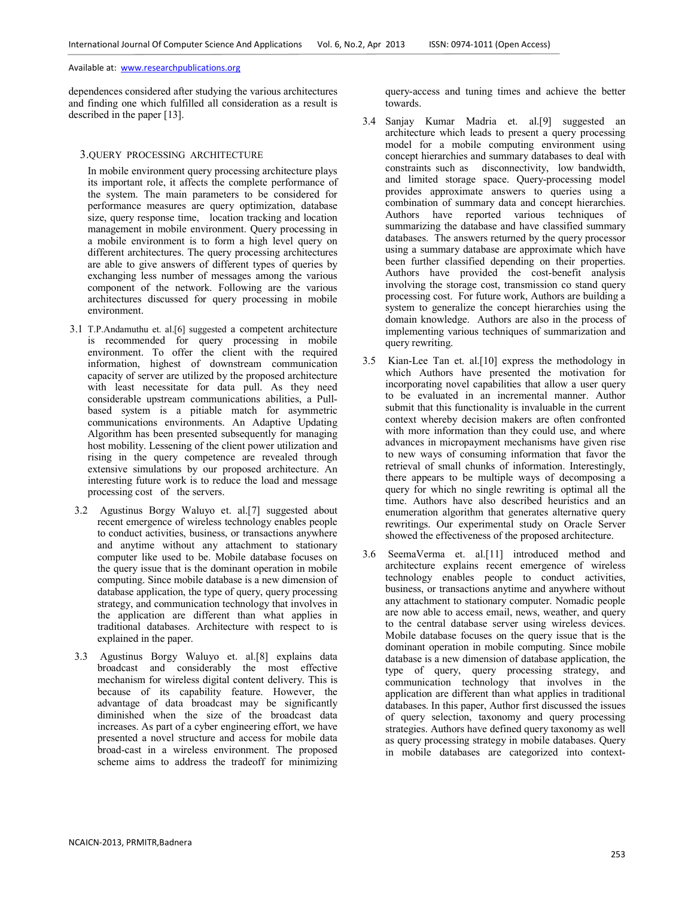dependences considered after studying the various architectures and finding one which fulfilled all consideration as a result is described in the paper [13].

### 3.QUERY PROCESSING ARCHITECTURE

In mobile environment query processing architecture plays its important role, it affects the complete performance of the system. The main parameters to be considered for performance measures are query optimization, database size, query response time, location tracking and location management in mobile environment. Query processing in a mobile environment is to form a high level query on different architectures. The query processing architectures are able to give answers of different types of queries by exchanging less number of messages among the various component of the network. Following are the various architectures discussed for query processing in mobile environment.

- 3.1 T.P.Andamuthu et. al.[6] suggested a competent architecture is recommended for query processing in mobile environment. To offer the client with the required information, highest of downstream communication capacity of server are utilized by the proposed architecture with least necessitate for data pull. As they need considerable upstream communications abilities, a Pullbased system is a pitiable match for asymmetric communications environments. An Adaptive Updating Algorithm has been presented subsequently for managing host mobility. Lessening of the client power utilization and rising in the query competence are revealed through extensive simulations by our proposed architecture. An interesting future work is to reduce the load and message processing cost of the servers.
- 3.2 Agustinus Borgy Waluyo et. al.[7] suggested about recent emergence of wireless technology enables people to conduct activities, business, or transactions anywhere and anytime without any attachment to stationary computer like used to be. Mobile database focuses on the query issue that is the dominant operation in mobile computing. Since mobile database is a new dimension of database application, the type of query, query processing strategy, and communication technology that involves in the application are different than what applies in traditional databases. Architecture with respect to is explained in the paper.
- 3.3 Agustinus Borgy Waluyo et. al.[8] explains data broadcast and considerably the most effective mechanism for wireless digital content delivery. This is because of its capability feature. However, the advantage of data broadcast may be significantly diminished when the size of the broadcast data increases. As part of a cyber engineering effort, we have presented a novel structure and access for mobile data broad-cast in a wireless environment. The proposed scheme aims to address the tradeoff for minimizing

query-access and tuning times and achieve the better towards.

- 3.4 Sanjay Kumar Madria et. al.[9] suggested an architecture which leads to present a query processing model for a mobile computing environment using concept hierarchies and summary databases to deal with constraints such as disconnectivity, low bandwidth, and limited storage space. Query-processing model provides approximate answers to queries using a combination of summary data and concept hierarchies. Authors have reported various techniques of summarizing the database and have classified summary databases. The answers returned by the query processor using a summary database are approximate which have been further classified depending on their properties. Authors have provided the cost-benefit analysis involving the storage cost, transmission co stand query processing cost. For future work, Authors are building a system to generalize the concept hierarchies using the domain knowledge. Authors are also in the process of implementing various techniques of summarization and query rewriting.
- 3.5 Kian-Lee Tan et. al.[10] express the methodology in which Authors have presented the motivation for incorporating novel capabilities that allow a user query to be evaluated in an incremental manner. Author submit that this functionality is invaluable in the current context whereby decision makers are often confronted with more information than they could use, and where advances in micropayment mechanisms have given rise to new ways of consuming information that favor the retrieval of small chunks of information. Interestingly, there appears to be multiple ways of decomposing a query for which no single rewriting is optimal all the time. Authors have also described heuristics and an enumeration algorithm that generates alternative query rewritings. Our experimental study on Oracle Server showed the effectiveness of the proposed architecture.
- 3.6 SeemaVerma et. al.[11] introduced method and architecture explains recent emergence of wireless technology enables people to conduct activities, business, or transactions anytime and anywhere without any attachment to stationary computer. Nomadic people are now able to access email, news, weather, and query to the central database server using wireless devices. Mobile database focuses on the query issue that is the dominant operation in mobile computing. Since mobile database is a new dimension of database application, the type of query, query processing strategy, and communication technology that involves in the application are different than what applies in traditional databases. In this paper, Author first discussed the issues of query selection, taxonomy and query processing strategies. Authors have defined query taxonomy as well as query processing strategy in mobile databases. Query in mobile databases are categorized into context-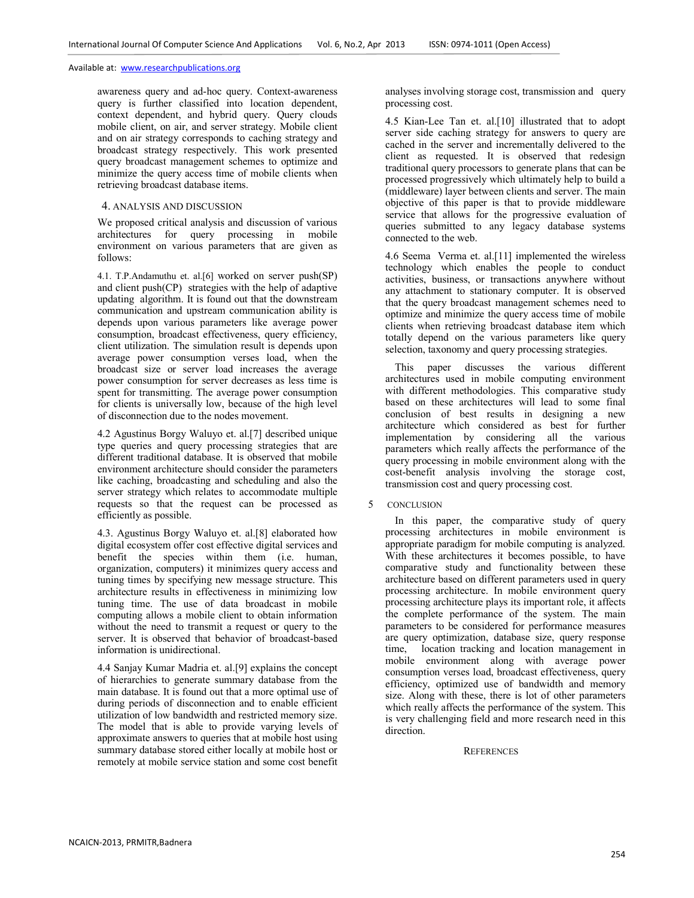awareness query and ad-hoc query. Context-awareness query is further classified into location dependent, context dependent, and hybrid query. Query clouds mobile client, on air, and server strategy. Mobile client and on air strategy corresponds to caching strategy and broadcast strategy respectively. This work presented query broadcast management schemes to optimize and minimize the query access time of mobile clients when retrieving broadcast database items.

# 4. ANALYSIS AND DISCUSSION

We proposed critical analysis and discussion of various architectures for query processing in mobile environment on various parameters that are given as follows:

4.1. T.P.Andamuthu et. al.[6] worked on server push(SP) and client push(CP) strategies with the help of adaptive updating algorithm. It is found out that the downstream communication and upstream communication ability is depends upon various parameters like average power consumption, broadcast effectiveness, query efficiency, client utilization. The simulation result is depends upon average power consumption verses load, when the broadcast size or server load increases the average power consumption for server decreases as less time is spent for transmitting. The average power consumption for clients is universally low, because of the high level of disconnection due to the nodes movement.

4.2 Agustinus Borgy Waluyo et. al.[7] described unique type queries and query processing strategies that are different traditional database. It is observed that mobile environment architecture should consider the parameters like caching, broadcasting and scheduling and also the server strategy which relates to accommodate multiple requests so that the request can be processed as efficiently as possible.

4.3. Agustinus Borgy Waluyo et. al.[8] elaborated how digital ecosystem offer cost effective digital services and benefit the species within them (i.e. human, organization, computers) it minimizes query access and tuning times by specifying new message structure. This architecture results in effectiveness in minimizing low tuning time. The use of data broadcast in mobile computing allows a mobile client to obtain information without the need to transmit a request or query to the server. It is observed that behavior of broadcast-based information is unidirectional.

4.4 Sanjay Kumar Madria et. al.[9] explains the concept of hierarchies to generate summary database from the main database. It is found out that a more optimal use of during periods of disconnection and to enable efficient utilization of low bandwidth and restricted memory size. The model that is able to provide varying levels of approximate answers to queries that at mobile host using summary database stored either locally at mobile host or remotely at mobile service station and some cost benefit analyses involving storage cost, transmission and query processing cost.

4.5 Kian-Lee Tan et. al.[10] illustrated that to adopt server side caching strategy for answers to query are cached in the server and incrementally delivered to the client as requested. It is observed that redesign traditional query processors to generate plans that can be processed progressively which ultimately help to build a (middleware) layer between clients and server. The main objective of this paper is that to provide middleware service that allows for the progressive evaluation of queries submitted to any legacy database systems connected to the web.

4.6 Seema Verma et. al.[11] implemented the wireless technology which enables the people to conduct activities, business, or transactions anywhere without any attachment to stationary computer. It is observed that the query broadcast management schemes need to optimize and minimize the query access time of mobile clients when retrieving broadcast database item which totally depend on the various parameters like query selection, taxonomy and query processing strategies.

This paper discusses the various different architectures used in mobile computing environment with different methodologies. This comparative study based on these architectures will lead to some final conclusion of best results in designing a new architecture which considered as best for further implementation by considering all the various parameters which really affects the performance of the query processing in mobile environment along with the cost-benefit analysis involving the storage cost, transmission cost and query processing cost.

#### 5 CONCLUSION

In this paper, the comparative study of query processing architectures in mobile environment is appropriate paradigm for mobile computing is analyzed. With these architectures it becomes possible, to have comparative study and functionality between these architecture based on different parameters used in query processing architecture. In mobile environment query processing architecture plays its important role, it affects the complete performance of the system. The main parameters to be considered for performance measures are query optimization, database size, query response time, location tracking and location management in mobile environment along with average power consumption verses load, broadcast effectiveness, query efficiency, optimized use of bandwidth and memory size. Along with these, there is lot of other parameters which really affects the performance of the system. This is very challenging field and more research need in this direction.

#### **REFERENCES**